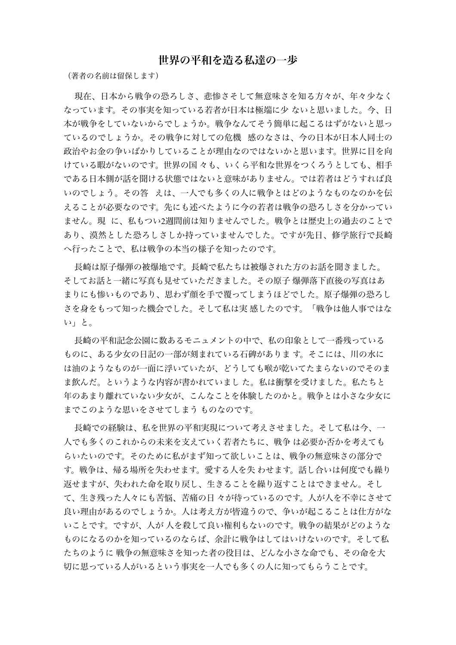## 世界の平和を造る私達の一歩

(著者の名前は留保します)

現在、日本から戦争の恐ろしさ、悲惨さそして無意味さを知る方々が、年々少なく なっています。その事実を知っている若者が日本は極端に少 ないと思いました。今、日 本が戦争をしていないからでしょうか。戦争なんてそう簡単に起こるはずがないと思っ ているのでしょうか。その戦争に対しての危機 感のなさは、今の日本が日本人同士の 政治やお金の争いばかりしていることが理由なのではないかと思います。世界に目を向 けている暇がないのです。世界の国 々も、いくら平和な世界をつくろうとしても、相手 である日本側が話を聞ける状態ではないと意味がありません。では若者はどうすれば良 いのでしょう。その答 えは、一人でも多くの人に戦争とはどのようなものなのかを伝 えることが必要なのです。先にも述べたように今の若者は戦争の恐ろしさを分かってい ません。現 に、私もつい2週間前は知りませんでした。戦争とは歴史上の過去のことで あり、漠然とした恐ろしさしか持っていませんでした。ですが先日、修学旅行で長崎 へ行ったことで、私は戦争の本当の様子を知ったのです。

長崎は原子爆弾の被爆地です。長崎で私たちは被爆された方のお話を聞きました。 そしてお話と一緒に写真も見せていただきました。その原子 爆弾落下直後の写真はあ まりにも惨いものであり、思わず顔を手で覆ってしまうほどでした。原子爆弾の恐ろし さを身をもって知った機会でした。そして私は実 感したのです。「戦争は他人事ではな い」と。

長崎の平和記念公園に数あるモニュメントの中で、私の印象として一番残っている ものに、ある少女の日記の一部が刻まれている石碑がありま す。そこには、川の水に は油のようなものが一面に浮いていたが、どうしても喉が乾いてたまらないのでそのま ま飲んだ。というような内容が書かれていまし た。私は衝撃を受けました。私たちと 年のあまり離れていない少女が、こんなことを体験したのかと。戦争とは小さな少女に までこのような思いをさせてしまう ものなのです。

長崎での経験は、私を世界の平和実現について考えさせました。そして私は今、一 人でも多くのこれからの未来を支えていく若者たちに、戦争 は必要か否かを考えても らいたいのです。そのために私がまず知って欲しいことは、戦争の無意味さの部分で す。戦争は、帰る場所を失わせます。愛する人を失 わせます。話し合いは何度でも繰り 返せますが、失われた命を取り戻し、生きることを繰り返すことはできません。そし て、生き残った人々にも苦悩、苦痛の日 々が待っているのです。人が人を不幸にさせて 良い理由があるのでしょうか。人は考え方が皆違うので、争いが起こることは仕方がな いことです。ですが、人が 人を殺して良い権利もないのです。戦争の結果がどのような ものになるのかを知っているのならば、余計に戦争はしてはいけないのです。そして私 たちのように 戦争の無意味さを知った者の役目は、どんな小さな命でも、その命を大 切に思っている人がいるという事実を一人でも多くの人に知ってもらうことです。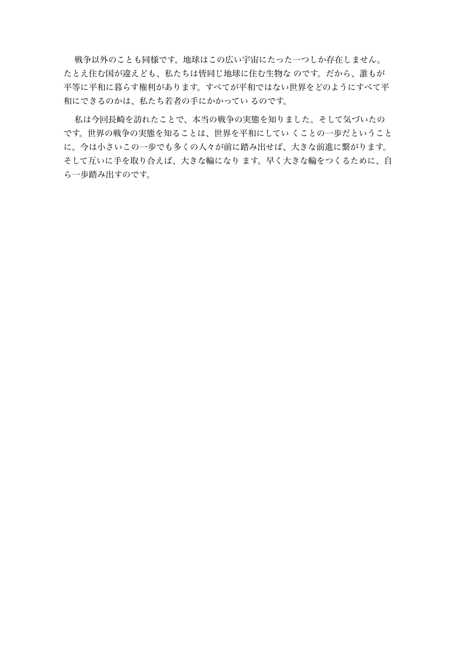戦争以外のことも同様です。地球はこの広い宇宙にたった一つしか存在しません。 たとえ住む国が違えども、私たちは皆同じ地球に住む生物な のです。だから、誰もが 平等に平和に暮らす権利があります。すべてが平和ではない世界をどのようにすべて平 和にできるのかは、私たち若者の手にかかってい るのです。

私は今回長崎を訪れたことで、本当の戦争の実態を知りました。そして気づいたの です。世界の戦争の実態を知ることは、世界を平和にしてい くことの一歩だということ に。今は小さいこの一歩でも多くの人々が前に踏み出せば、大きな前進に繋がります。 そして互いに手を取り合えば、大きな輪になり ます。早く大きな輪をつくるために、自 ら一歩踏み出すのです。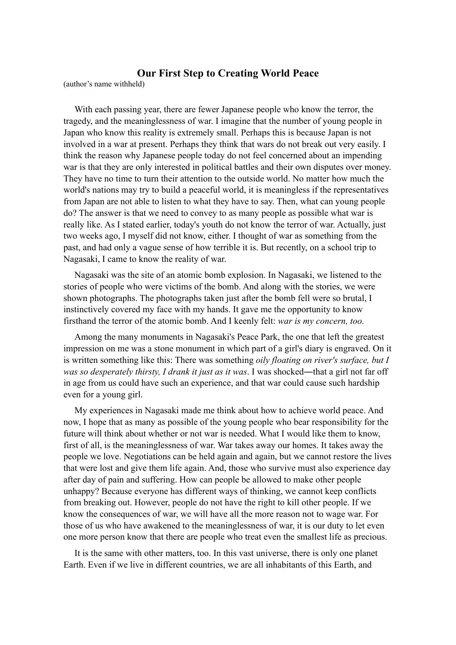## **Our First Step to Creating World Peace**

(author's name withheld)

With each passing year, there are fewer Japanese people who know the terror, the tragedy, and the meaninglessness of war. I imagine that the number of young people in Japan who know this reality is extremely small. Perhaps this is because Japan is not involved in a war at present. Perhaps they think that wars do not break out very easily. I think the reason why Japanese people today do not feel concerned about an impending war is that they are only interested in political battles and their own disputes over money. They have no time to turn their attention to the outside world. No matter how much the world's nations may try to build a peaceful world, it is meaningless if the representatives from Japan are not able to listen to what they have to say. Then, what can young people do? The answer is that we need to convey to as many people as possible what war is really like. As I stated earlier, today's youth do not know the terror of war. Actually, just two weeks ago, I myself did not know, either. I thought of war as something from the past, and had only a vague sense of how terrible it is. But recently, on a school trip to Nagasaki, I came to know the reality of war.

Nagasaki was the site of an atomic bomb explosion. In Nagasaki, we listened to the stories of people who were victims of the bomb. And along with the stories, we were shown photographs. The photographs taken just after the bomb fell were so brutal, I instinctively covered my face with my hands. It gave me the opportunity to know firsthand the terror of the atomic bomb. And I keenly felt: *war is my concern, too.*

Among the many monuments in Nagasaki's Peace Park, the one that left the greatest impression on me was a stone monument in which part of a girl's diary is engraved. On it is written something like this: There was something *oily floating on river's surface, but I was so desperately thirsty, I drank it just as it was*. I was shocked―that a girl not far off in age from us could have such an experience, and that war could cause such hardship even for a young girl.

My experiences in Nagasaki made me think about how to achieve world peace. And now, I hope that as many as possible of the young people who bear responsibility for the future will think about whether or not war is needed. What I would like them to know, first of all, is the meaninglessness of war. War takes away our homes. It takes away the people we love. Negotiations can be held again and again, but we cannot restore the lives that were lost and give them life again. And, those who survive must also experience day after day of pain and suffering. How can people be allowed to make other people unhappy? Because everyone has different ways of thinking, we cannot keep conflicts from breaking out. However, people do not have the right to kill other people. If we know the consequences of war, we will have all the more reason not to wage war. For those of us who have awakened to the meaninglessness of war, it is our duty to let even one more person know that there are people who treat even the smallest life as precious.

It is the same with other matters, too. In this vast universe, there is only one planet Earth. Even if we live in different countries, we are all inhabitants of this Earth, and